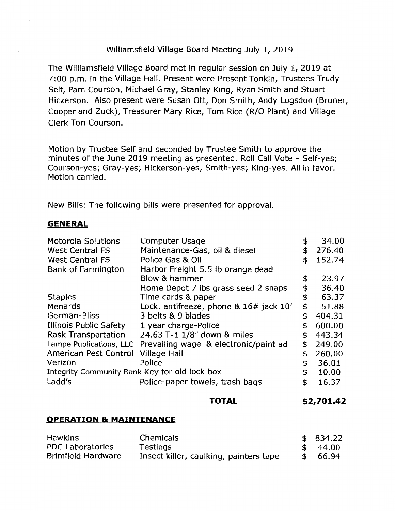# Williamsfield Village Board Meeting July 1, 2019

The Williamsfield Village Board met in regular session on July 1, 2019 at 7:00 p.m. in the Village Hall. Present were Present Tonkin, Trustees Trudy Self, Pam Courson, Michael Gray, Stanley King, Ryan Smith and Stuart Hickerson. Also present were Susan Ott, Don Smith, Andy Logsdon (Bruner, Cooper and Zuck), Treasurer Mary Rice, Tom Rice (R/0 Plant) and Village Clerk Tori Courson.

Motion by Trustee Self and seconded by Trustee Smith to approve the minutes of the June 2019 meeting as presented. Roll Call Vote - Self-yes; Courson-yes; Gray-yes; Hickerson-yes; Smith-yes; King-yes. All in favor. Motion carried.

New Bills: The following bills were presented for approval.

## **GENERAL**

| Motorola Solutions                            | Computer Usage                         | \$ | 34.00  |
|-----------------------------------------------|----------------------------------------|----|--------|
| <b>West Central FS</b>                        | Maintenance-Gas, oil & diesel          | \$ | 276.40 |
| <b>West Central FS</b>                        | Police Gas & Oil                       | \$ | 152.74 |
| <b>Bank of Farmington</b>                     | Harbor Freight 5.5 lb orange dead      |    |        |
|                                               | Blow & hammer                          | \$ | 23.97  |
|                                               | Home Depot 7 lbs grass seed 2 snaps    | \$ | 36.40  |
| <b>Staples</b>                                | Time cards & paper                     | \$ | 63.37  |
| Menards                                       | Lock, antifreeze, phone & 16# jack 10' | \$ | 51.88  |
| German-Bliss                                  | 3 belts & 9 blades                     | \$ | 404.31 |
| Illinois Public Safety                        | 1 year charge-Police                   | \$ | 600.00 |
| <b>Rask Transportation</b>                    | 24.63 T-1 1/8" down & miles            | \$ | 443.34 |
| Lampe Publications, LLC                       | Prevailing wage & electronic/paint ad  | \$ | 249.00 |
| <b>American Pest Control</b>                  | <b>Village Hall</b>                    | \$ | 260.00 |
| Verizon                                       | Police                                 | \$ | 36.01  |
| Integrity Community Bank Key for old lock box |                                        |    | 10.00  |
| Ladd's                                        | Police-paper towels, trash bags        | \$ | 16.37  |

#### **TOTAL \$2,701.42**

## **OPERATION & MAINTENANCE**

| Hawkins            | Chemicals                              | \$834.22 |
|--------------------|----------------------------------------|----------|
| PDC Laboratories   | Testings                               | \$ 44.00 |
| Brimfield Hardware | Insect killer, caulking, painters tape | \$66.94  |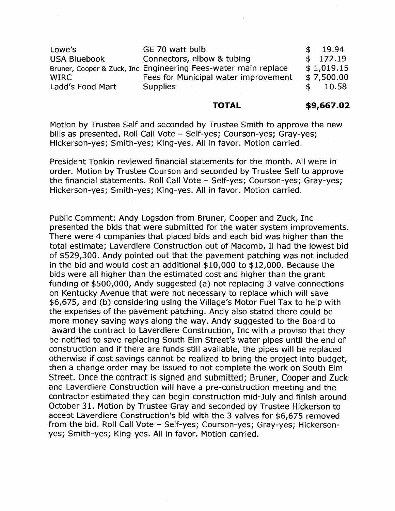| Lowe's              | GE 70 watt bulb                                                | \$. | 19.94      |
|---------------------|----------------------------------------------------------------|-----|------------|
| <b>USA Bluebook</b> | Connectors, elbow & tubing                                     |     | \$172.19   |
|                     | Bruner, Cooper & Zuck, Inc Engineering Fees-water main replace |     | \$1,019.15 |
| WIRC                | Fees for Municipal water improvement                           |     | \$7,500.00 |
| Ladd's Food Mart    | <b>Supplies</b>                                                |     | 10.58      |

#### **TOTAL \$9,667.02**

Motion by Trustee Self and seconded by Trustee Smith to approve the new bills as presented. Roll Call Vote - Self-yes; Courson-yes; Gray-yes; Hickerson-yes; Smith-yes; King-yes. All in favor. Motion carried.

President Tonkin reviewed financial statements for the month. All were in order. Motion by Trustee Courson and seconded by Trustee Self to approve the financial statements. Roll Call Vote - Self-yes; Courson-yes; Gray-yes; Hickerson-yes; Smith-yes; King-yes. All in favor. Motion carried.

Public Comment: Andy Logsdon from Bruner, Cooper and Zuck, Inc presented the bids that were submitted for the water system improvements. There were 4 companies that placed bids and each bid was higher than the total estimate; Laverdiere Construction out of Macomb, II had the lowest bid of \$529,300. Andy pointed out that the pavement patching was not included in the bid and would cost an additional \$10,000 to \$12,000. Because the bids were all higher than the estimated cost and higher than the grant funding of \$500,000, Andy suggested (a) not replacing 3 valve connections on Kentucky Avenue that were not necessary to replace which will save \$6,675, and (b) considering using the Village's Motor Fuel Tax to help with the expenses of the pavement patching. Andy also stated there could be more money saving ways along the way. Andy suggested to the Board to award the contract to Laverdiere Construction, Inc with a proviso that they be notified to save replacing South Elm Street's water pipes until the end of construction and if there are funds still available, the pipes will be replaced otherwise if cost savings cannot be realized to bring the project into budget, then a change order may be issued to not complete the work on South Elm Street. Once the contract is signed and submitted; Bruner, Cooper and Zuck and Laverdiere Construction will have a pre-construction meeting and the contractor estimated they can begin construction mid-July and finish around October 31. Motion by Trustee Gray and seconded by Trustee Hickerson to accept Laverdiere Construction's bid with the 3 valves for \$6,675 removed from the bid. Roll Call Vote - Self-yes; Courson-yes; Gray-yes; Hickersonyes; Smith-yes; King-yes. All in favor. Motion carried.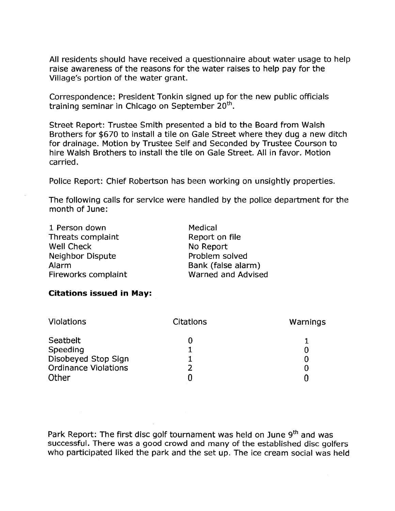All residents should have received a questionnaire about water usage to help raise awareness of the reasons for the water raises to help pay for the Village's portion of the water grant.

Correspondence: President Tonkin signed up for the new public officials training seminar in Chicago on September  $20<sup>th</sup>$ .

Street Report: Trustee Smith presented a bid to the Board from Walsh Brothers for \$670 to install a tile on Gale Street where they dug a new ditch for drainage. Motion by Trustee Self and Seconded by Trustee Courson to hire Walsh Brothers to install the tile on Gale Street. All in favor. Motion carried.

Police Report: Chief Robertson has been working on unsightly properties.

The following calls for service were handled by the police department for the month of June:

| 1 Person down           | Medical            |
|-------------------------|--------------------|
| Threats complaint       | Report on file     |
| <b>Well Check</b>       | No Report          |
| <b>Neighbor Dispute</b> | Problem solved     |
| Alarm                   | Bank (false alarm) |
| Fireworks complaint     | Warned and Advised |

# **Citations issued in May:**

| <b>Violations</b>           | <b>Citations</b> | Warnings |
|-----------------------------|------------------|----------|
| Seatbelt                    |                  |          |
| Speeding                    |                  |          |
| Disobeyed Stop Sign         |                  |          |
| <b>Ordinance Violations</b> |                  |          |
| Other                       |                  |          |

Park Report: The first disc golf tournament was held on June 9<sup>th</sup> and was successful. There was a good crowd and many of the established disc golfers who participated liked the park and the set up. The ice cream social was held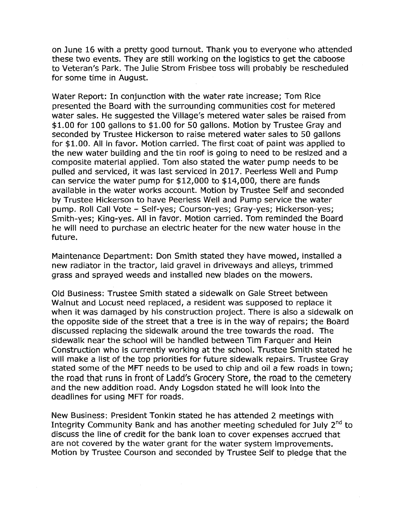on June 16 with a pretty good turnout. Thank you to everyone who attended these two events. They are still working on the logistics to get the caboose to Veteran's Park. The Julie Strom Frisbee toss will probably be rescheduled for some time in August.

Water Report: In conjunction with the water rate increase; Tom Rice presented the Board with the surrounding communities cost for metered water sales. He suggested the Village's metered water sales be raised from \$1.00 for 100 gallons to \$1.00 for 50 gallons. Motion by Trustee Gray and seconded by Trustee Hickerson to raise metered water sales to 50 gallons for \$1.00. All in favor. Motion carried. The first coat of paint was applied to the new water building and the tin roof is going to need to be resized and a composite material applied. Tom also stated the water pump needs to be pulled and serviced, it was last serviced in 2017. Peerless Well and Pump can service the water pump for \$12,000 to \$14,000, there are funds available in the water works account. Motion by Trustee Self and seconded by Trustee Hickerson to have Peerless Well and Pump service the water pump. Roll Call Vote - Self-yes; Courson-yes; Gray-yes; Hickerson-yes; Smith-yes; King-yes. All in favor. Motion carried. Tom reminded the Board he will need to purchase an electric heater for the new water house in the future.

Maintenance Department: Don Smith stated they have mowed, installed a new radiator in the tractor, laid gravel in driveways and alleys, trimmed grass and sprayed weeds and installed new blades on the mowers.

Old Business: Trustee Smith stated a sidewalk on Gale Street between Walnut and Locust need replaced, a resident was supposed to replace it when it was damaged by his construction project. There is also a sidewalk on the opposite side of the street that a tree is in the way of repairs; the Board discussed replacing the sidewalk around the tree towards the road. The sidewalk near the school will be handled between Tim Farquer and Hein Construction who is currently working at the school. Trustee Smith stated he will make a list of the top priorities for future sidewalk repairs. Trustee Gray stated some of the MFT needs to be used to chip and oil a few roads in town; the road that runs in front of Ladd's Grocery Store, the road to the cemetery and the new addition road. Andy Logsdon stated he will look into the deadlines for using MFT for roads.

New Business: President Tonkin stated he has attended 2 meetings with Integrity Community Bank and has another meeting scheduled for July 2<sup>nd</sup> to discuss the line of credit for the bank loan to cover expenses accrued that are not covered by the water grant for the water system improvements. Motion by Trustee Courson and seconded by Trustee Self to pledge that the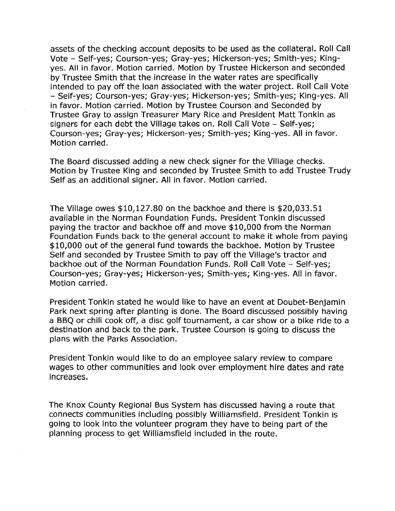assets of the checking account deposits to be used as the collateral. Roll Call Vote - Self-yes; Courson-yes; Gray-yes; Hickerson-yes; Smith-yes; Kingyes. All in favor. Motion carried. Motion by Trustee Hickerson and seconded by Trustee Smith that the increase in the water rates are specifically intended to pay off the loan associated with the water project. Roll Call Vote - Self-yes; Courson-yes; Gray-yes; Hickerson-yes; Smith-yes; King-yes. All in favor. Motion carried. Motion by Trustee Courson and Seconded by Trustee Gray to assign Treasurer Mary Rice and President Matt Tonkin as signers for each debt the Village takes on. Roll Call Vote - Self-yes; Courson-yes; Gray-yes; Hickerson-yes; Smith-yes; King-yes. All in favor. Motion carried.

The Board discussed adding a new check signer for the Village checks. Motion by Trustee King and seconded by Trustee Smith to add Trustee Trudy Self as an additional signer. All in favor. Motion carried.

The Village owes \$[10,127.80](https://10,127.80) on the backhoe and there is \$[20,033.51](https://20,033.51) available in the Norman Foundation Funds. President Tonkin discussed paying the tractor and backhoe off and move \$10,000 from the Norman Foundation Funds back to the general account to make it whole from paying \$10,000 out of the general fund towards the backhoe. Motion by Trustee Self and seconded by Trustee Smith to pay off the Village's tractor and backhoe out of the Norman Foundation Funds. Roll Call Vote - Self-yes; Courson-yes; Gray-yes; Hickerson-yes; Smith-yes; King-yes. All in favor. Motion carried.

President Tonkin stated he would like to have an event at Doubet-Benjamin Park next spring after planting is done. The Board discussed possibly having a BBQ or chili cook off, a disc golf tournament, a car show or a bike ride to a destination and back to the park. Trustee Courson is going to discuss the plans with the Parks Association.

President Tonkin would like to do an employee salary review to compare wages to other communities and look over employment hire dates and rate increases.

The Knox County Regional Bus System has discussed having a route that connects communities including possibly Williamsfield. President Tonkin is going to look into the volunteer program they have to being part of the planning process to get Williamsfield included in the route.